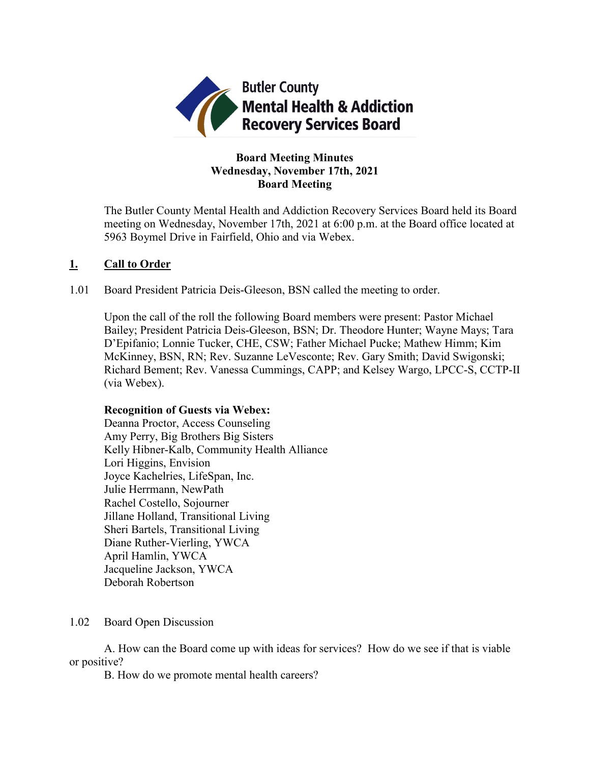

# **Board Meeting Minutes Wednesday, November 17th, 2021 Board Meeting**

The Butler County Mental Health and Addiction Recovery Services Board held its Board meeting on Wednesday, November 17th, 2021 at 6:00 p.m. at the Board office located at 5963 Boymel Drive in Fairfield, Ohio and via Webex.

# **1. Call to Order**

1.01 Board President Patricia Deis-Gleeson, BSN called the meeting to order.

Upon the call of the roll the following Board members were present: Pastor Michael Bailey; President Patricia Deis-Gleeson, BSN; Dr. Theodore Hunter; Wayne Mays; Tara D'Epifanio; Lonnie Tucker, CHE, CSW; Father Michael Pucke; Mathew Himm; Kim McKinney, BSN, RN; Rev. Suzanne LeVesconte; Rev. Gary Smith; David Swigonski; Richard Bement; Rev. Vanessa Cummings, CAPP; and Kelsey Wargo, LPCC-S, CCTP-II (via Webex).

## **Recognition of Guests via Webex:**

Deanna Proctor, Access Counseling Amy Perry, Big Brothers Big Sisters Kelly Hibner-Kalb, Community Health Alliance Lori Higgins, Envision Joyce Kachelries, LifeSpan, Inc. Julie Herrmann, NewPath Rachel Costello, Sojourner Jillane Holland, Transitional Living Sheri Bartels, Transitional Living Diane Ruther-Vierling, YWCA April Hamlin, YWCA Jacqueline Jackson, YWCA Deborah Robertson

## 1.02 Board Open Discussion

A. How can the Board come up with ideas for services? How do we see if that is viable or positive?

B. How do we promote mental health careers?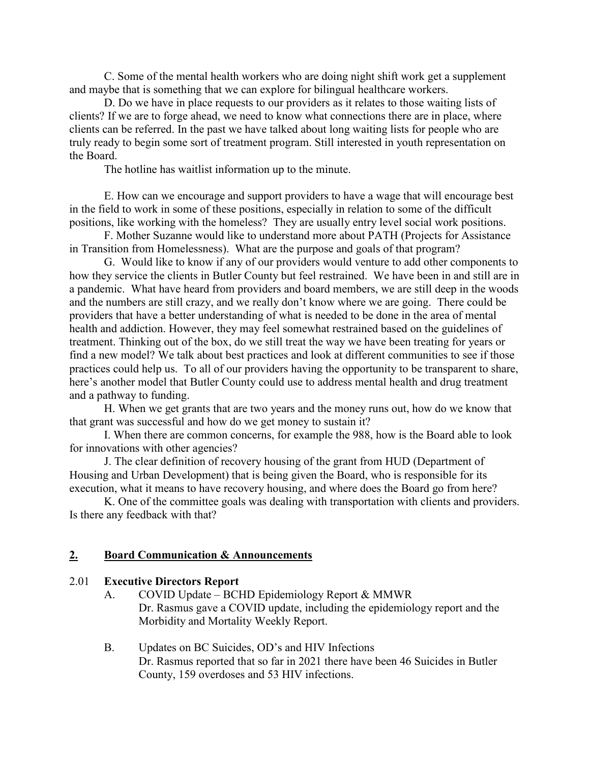C. Some of the mental health workers who are doing night shift work get a supplement and maybe that is something that we can explore for bilingual healthcare workers.

D. Do we have in place requests to our providers as it relates to those waiting lists of clients? If we are to forge ahead, we need to know what connections there are in place, where clients can be referred. In the past we have talked about long waiting lists for people who are truly ready to begin some sort of treatment program. Still interested in youth representation on the Board.

The hotline has waitlist information up to the minute.

E. How can we encourage and support providers to have a wage that will encourage best in the field to work in some of these positions, especially in relation to some of the difficult positions, like working with the homeless? They are usually entry level social work positions.

F. Mother Suzanne would like to understand more about PATH (Projects for Assistance in Transition from Homelessness). What are the purpose and goals of that program?

G. Would like to know if any of our providers would venture to add other components to how they service the clients in Butler County but feel restrained. We have been in and still are in a pandemic. What have heard from providers and board members, we are still deep in the woods and the numbers are still crazy, and we really don't know where we are going. There could be providers that have a better understanding of what is needed to be done in the area of mental health and addiction. However, they may feel somewhat restrained based on the guidelines of treatment. Thinking out of the box, do we still treat the way we have been treating for years or find a new model? We talk about best practices and look at different communities to see if those practices could help us. To all of our providers having the opportunity to be transparent to share, here's another model that Butler County could use to address mental health and drug treatment and a pathway to funding.

H. When we get grants that are two years and the money runs out, how do we know that that grant was successful and how do we get money to sustain it?

I. When there are common concerns, for example the 988, how is the Board able to look for innovations with other agencies?

J. The clear definition of recovery housing of the grant from HUD (Department of Housing and Urban Development) that is being given the Board, who is responsible for its execution, what it means to have recovery housing, and where does the Board go from here?

K. One of the committee goals was dealing with transportation with clients and providers. Is there any feedback with that?

#### **2. Board Communication & Announcements**

#### 2.01 **Executive Directors Report**

- A. COVID Update BCHD Epidemiology Report & MMWR Dr. Rasmus gave a COVID update, including the epidemiology report and the Morbidity and Mortality Weekly Report.
- B. Updates on BC Suicides, OD's and HIV Infections Dr. Rasmus reported that so far in 2021 there have been 46 Suicides in Butler County, 159 overdoses and 53 HIV infections.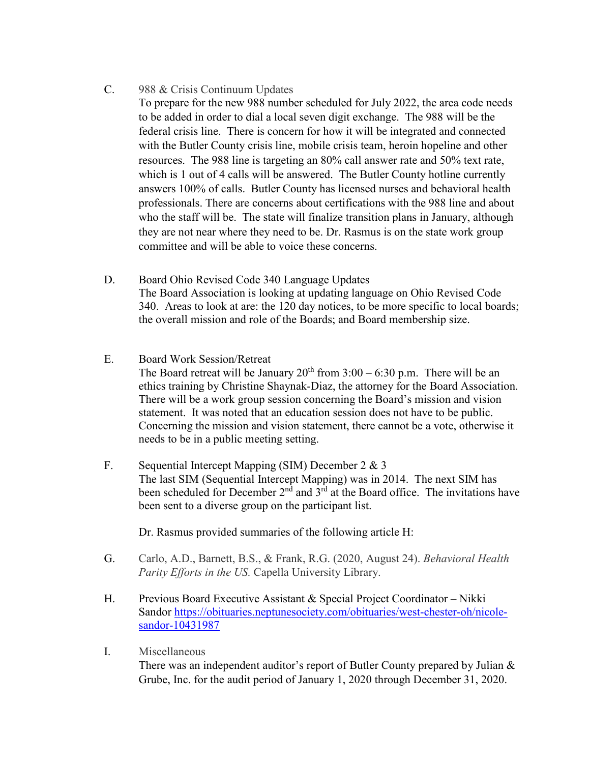- C. 988 & Crisis Continuum Updates
	- To prepare for the new 988 number scheduled for July 2022, the area code needs to be added in order to dial a local seven digit exchange. The 988 will be the federal crisis line. There is concern for how it will be integrated and connected with the Butler County crisis line, mobile crisis team, heroin hopeline and other resources. The 988 line is targeting an 80% call answer rate and 50% text rate, which is 1 out of 4 calls will be answered. The Butler County hotline currently answers 100% of calls. Butler County has licensed nurses and behavioral health professionals. There are concerns about certifications with the 988 line and about who the staff will be. The state will finalize transition plans in January, although they are not near where they need to be. Dr. Rasmus is on the state work group committee and will be able to voice these concerns.
- D. Board Ohio Revised Code 340 Language Updates The Board Association is looking at updating language on Ohio Revised Code 340. Areas to look at are: the 120 day notices, to be more specific to local boards; the overall mission and role of the Boards; and Board membership size.
- E. Board Work Session/Retreat The Board retreat will be January  $20<sup>th</sup>$  from  $3:00 - 6:30$  p.m. There will be an ethics training by Christine Shaynak-Diaz, the attorney for the Board Association. There will be a work group session concerning the Board's mission and vision statement. It was noted that an education session does not have to be public. Concerning the mission and vision statement, there cannot be a vote, otherwise it needs to be in a public meeting setting.
- F. Sequential Intercept Mapping (SIM) December 2 & 3 The last SIM (Sequential Intercept Mapping) was in 2014. The next SIM has been scheduled for December  $2<sup>nd</sup>$  and  $3<sup>rd</sup>$  at the Board office. The invitations have been sent to a diverse group on the participant list.

Dr. Rasmus provided summaries of the following article H:

- G. Carlo, A.D., Barnett, B.S., & Frank, R.G. (2020, August 24). *Behavioral Health Parity Efforts in the US.* Capella University Library.
- H. Previous Board Executive Assistant & Special Project Coordinator Nikki Sandor [https://obituaries.neptunesociety.com/obituaries/west-chester-oh/nicole](https://obituaries.neptunesociety.com/obituaries/west-chester-oh/nicole-sandor-10431987)[sandor-10431987](https://obituaries.neptunesociety.com/obituaries/west-chester-oh/nicole-sandor-10431987)
- I. Miscellaneous

There was an independent auditor's report of Butler County prepared by Julian & Grube, Inc. for the audit period of January 1, 2020 through December 31, 2020.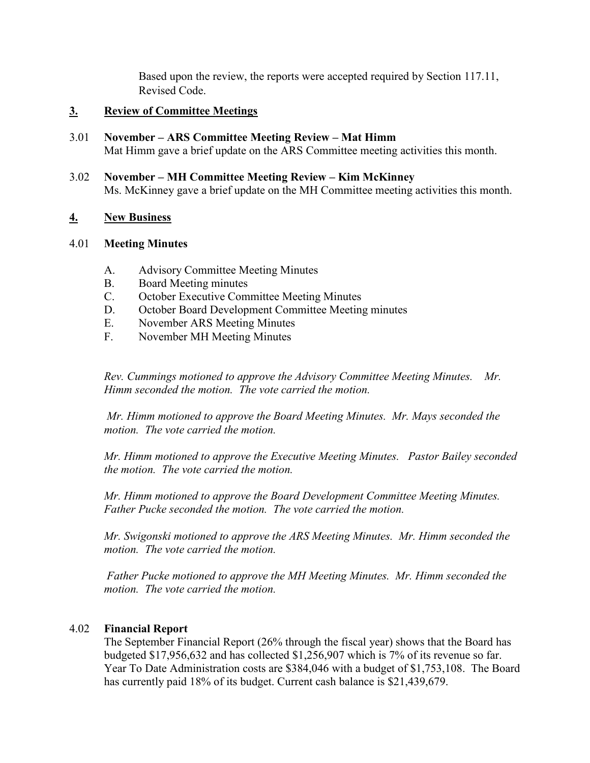Based upon the review, the reports were accepted required by Section 117.11, Revised Code.

# **3. Review of Committee Meetings**

- 3.01 **November – ARS Committee Meeting Review – Mat Himm** Mat Himm gave a brief update on the ARS Committee meeting activities this month.
- 3.02 **November – MH Committee Meeting Review – Kim McKinney** Ms. McKinney gave a brief update on the MH Committee meeting activities this month.

# **4. New Business**

# 4.01 **Meeting Minutes**

- A. Advisory Committee Meeting Minutes
- B. Board Meeting minutes
- C. October Executive Committee Meeting Minutes
- D. October Board Development Committee Meeting minutes
- E. November ARS Meeting Minutes
- F. November MH Meeting Minutes

*Rev. Cummings motioned to approve the Advisory Committee Meeting Minutes. Mr. Himm seconded the motion. The vote carried the motion.*

*Mr. Himm motioned to approve the Board Meeting Minutes. Mr. Mays seconded the motion. The vote carried the motion.*

*Mr. Himm motioned to approve the Executive Meeting Minutes. Pastor Bailey seconded the motion. The vote carried the motion.*

*Mr. Himm motioned to approve the Board Development Committee Meeting Minutes. Father Pucke seconded the motion. The vote carried the motion.*

*Mr. Swigonski motioned to approve the ARS Meeting Minutes. Mr. Himm seconded the motion. The vote carried the motion.*

*Father Pucke motioned to approve the MH Meeting Minutes. Mr. Himm seconded the motion. The vote carried the motion.* 

## 4.02 **Financial Report**

The September Financial Report (26% through the fiscal year) shows that the Board has budgeted \$17,956,632 and has collected \$1,256,907 which is 7% of its revenue so far. Year To Date Administration costs are \$384,046 with a budget of \$1,753,108. The Board has currently paid 18% of its budget. Current cash balance is \$21,439,679.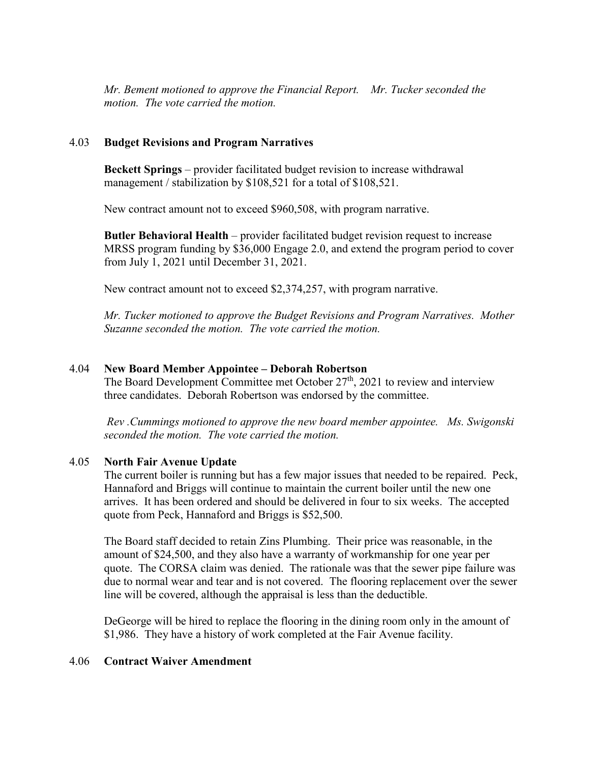*Mr. Bement motioned to approve the Financial Report. Mr. Tucker seconded the motion. The vote carried the motion.*

## 4.03 **Budget Revisions and Program Narratives**

**Beckett Springs** – provider facilitated budget revision to increase withdrawal management / stabilization by \$108,521 for a total of \$108,521.

New contract amount not to exceed \$960,508, with program narrative.

**Butler Behavioral Health** – provider facilitated budget revision request to increase MRSS program funding by \$36,000 Engage 2.0, and extend the program period to cover from July 1, 2021 until December 31, 2021.

New contract amount not to exceed \$2,374,257, with program narrative.

*Mr. Tucker motioned to approve the Budget Revisions and Program Narratives. Mother Suzanne seconded the motion. The vote carried the motion.*

## 4.04 **New Board Member Appointee – Deborah Robertson**

The Board Development Committee met October  $27<sup>th</sup>$ , 2021 to review and interview three candidates. Deborah Robertson was endorsed by the committee.

*Rev .Cummings motioned to approve the new board member appointee. Ms. Swigonski seconded the motion. The vote carried the motion.*

#### 4.05 **North Fair Avenue Update**

The current boiler is running but has a few major issues that needed to be repaired. Peck, Hannaford and Briggs will continue to maintain the current boiler until the new one arrives. It has been ordered and should be delivered in four to six weeks. The accepted quote from Peck, Hannaford and Briggs is \$52,500.

The Board staff decided to retain Zins Plumbing. Their price was reasonable, in the amount of \$24,500, and they also have a warranty of workmanship for one year per quote. The CORSA claim was denied. The rationale was that the sewer pipe failure was due to normal wear and tear and is not covered. The flooring replacement over the sewer line will be covered, although the appraisal is less than the deductible.

DeGeorge will be hired to replace the flooring in the dining room only in the amount of \$1,986. They have a history of work completed at the Fair Avenue facility.

#### 4.06 **Contract Waiver Amendment**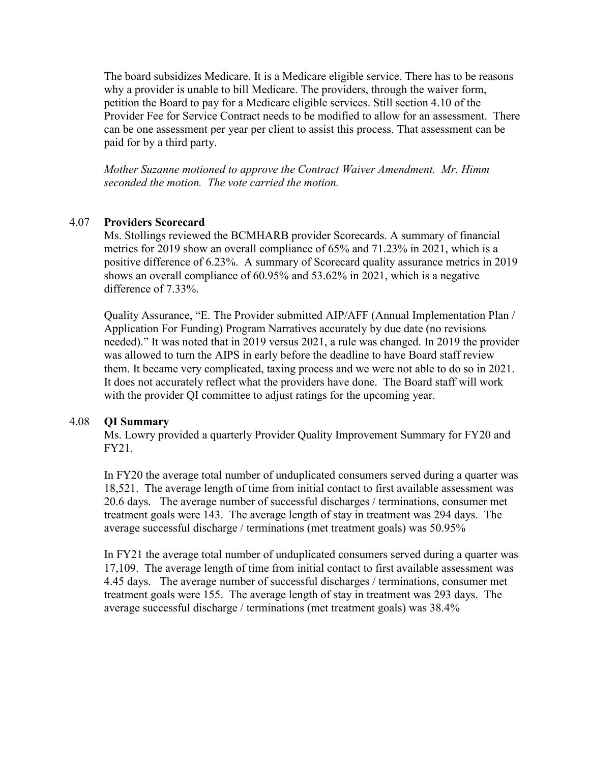The board subsidizes Medicare. It is a Medicare eligible service. There has to be reasons why a provider is unable to bill Medicare. The providers, through the waiver form, petition the Board to pay for a Medicare eligible services. Still section 4.10 of the Provider Fee for Service Contract needs to be modified to allow for an assessment. There can be one assessment per year per client to assist this process. That assessment can be paid for by a third party.

*Mother Suzanne motioned to approve the Contract Waiver Amendment. Mr. Himm seconded the motion. The vote carried the motion.*

### 4.07 **Providers Scorecard**

Ms. Stollings reviewed the BCMHARB provider Scorecards. A summary of financial metrics for 2019 show an overall compliance of 65% and 71.23% in 2021, which is a positive difference of 6.23%. A summary of Scorecard quality assurance metrics in 2019 shows an overall compliance of 60.95% and 53.62% in 2021, which is a negative difference of 7.33%.

Quality Assurance, "E. The Provider submitted AIP/AFF (Annual Implementation Plan / Application For Funding) Program Narratives accurately by due date (no revisions needed)." It was noted that in 2019 versus 2021, a rule was changed. In 2019 the provider was allowed to turn the AIPS in early before the deadline to have Board staff review them. It became very complicated, taxing process and we were not able to do so in 2021. It does not accurately reflect what the providers have done. The Board staff will work with the provider QI committee to adjust ratings for the upcoming year.

#### 4.08 **QI Summary**

Ms. Lowry provided a quarterly Provider Quality Improvement Summary for FY20 and FY21.

In FY20 the average total number of unduplicated consumers served during a quarter was 18,521. The average length of time from initial contact to first available assessment was 20.6 days. The average number of successful discharges / terminations, consumer met treatment goals were 143. The average length of stay in treatment was 294 days. The average successful discharge / terminations (met treatment goals) was 50.95%

In FY21 the average total number of unduplicated consumers served during a quarter was 17,109. The average length of time from initial contact to first available assessment was 4.45 days. The average number of successful discharges / terminations, consumer met treatment goals were 155. The average length of stay in treatment was 293 days. The average successful discharge / terminations (met treatment goals) was 38.4%